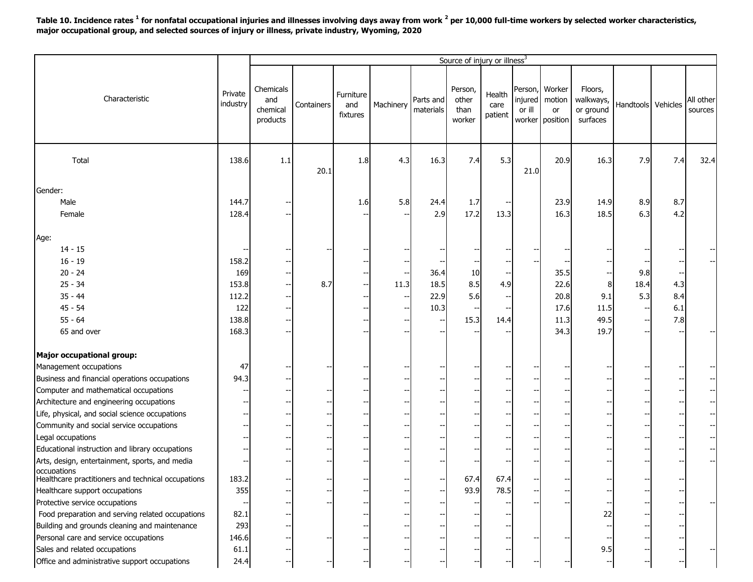**Table 10. Incidence rates <sup>1</sup> for nonfatal occupational injuries and illnesses involving days away from work <sup>2</sup> per 10,000 full-time workers by selected worker characteristics, major occupational group, and selected sources of injury or illness, private industry, Wyoming, 2020**

|                                                               |                     |                                          |            |                              |           |                        | Source of injury or illness <sup>3</sup> |                           |                   |                                                   |                                               |                    |     |                      |
|---------------------------------------------------------------|---------------------|------------------------------------------|------------|------------------------------|-----------|------------------------|------------------------------------------|---------------------------|-------------------|---------------------------------------------------|-----------------------------------------------|--------------------|-----|----------------------|
| Characteristic                                                | Private<br>industry | Chemicals<br>and<br>chemical<br>products | Containers | Furniture<br>and<br>fixtures | Machinery | Parts and<br>materials | Person,<br>other<br>than<br>worker       | Health<br>care<br>patient | injured<br>or ill | Person, Worker<br>motion<br>or<br>worker position | Floors,<br>walkways,<br>or ground<br>surfaces | Handtools Vehicles |     | All other<br>sources |
| Total                                                         | 138.6               | 1.1                                      | 20.1       | 1.8                          | 4.3       | 16.3                   | 7.4                                      | 5.3                       | 21.0              | 20.9                                              | 16.3                                          | 7.9                | 7.4 | 32.4                 |
| Gender:                                                       |                     |                                          |            |                              |           |                        |                                          |                           |                   |                                                   |                                               |                    |     |                      |
| Male                                                          | 144.7               |                                          |            | 1.6                          | 5.8       | 24.4                   | 1.7                                      |                           |                   | 23.9                                              | 14.9                                          | 8.9                | 8.7 |                      |
| Female                                                        | 128.4               |                                          |            |                              |           | 2.9                    | 17.2                                     | 13.3                      |                   | 16.3                                              | 18.5                                          | 6.3                | 4.2 |                      |
| Age:                                                          |                     |                                          |            |                              |           |                        |                                          |                           |                   |                                                   |                                               |                    |     |                      |
| $14 - 15$                                                     |                     |                                          |            |                              |           |                        |                                          |                           |                   |                                                   |                                               |                    |     |                      |
| $16 - 19$                                                     | 158.2               |                                          |            |                              |           |                        |                                          |                           |                   |                                                   |                                               |                    |     |                      |
| $20 - 24$                                                     | 169                 |                                          |            |                              |           | 36.4                   | 10                                       |                           |                   | 35.5                                              |                                               | 9.8                |     |                      |
| $25 - 34$                                                     | 153.8               |                                          | 8.7        |                              | 11.3      | 18.5                   | 8.5                                      | 4.9                       |                   | 22.6                                              | 8                                             | 18.4               | 4.3 |                      |
| $35 - 44$                                                     | 112.2               |                                          |            |                              |           | 22.9                   | 5.6                                      |                           |                   | 20.8                                              | 9.1                                           | 5.3                | 8.4 |                      |
| $45 - 54$                                                     | 122                 |                                          |            |                              |           | 10.3                   |                                          |                           |                   | 17.6                                              | 11.5                                          |                    | 6.1 |                      |
| $55 - 64$                                                     | 138.8               |                                          |            |                              |           |                        | 15.3                                     | 14.4                      |                   | 11.3                                              | 49.5                                          |                    | 7.8 |                      |
| 65 and over                                                   | 168.3               |                                          |            |                              |           |                        |                                          |                           |                   | 34.3                                              | 19.7                                          |                    |     |                      |
| Major occupational group:                                     |                     |                                          |            |                              |           |                        |                                          |                           |                   |                                                   |                                               |                    |     |                      |
| Management occupations                                        | 47                  |                                          |            |                              |           |                        |                                          |                           |                   |                                                   |                                               |                    |     |                      |
| Business and financial operations occupations                 | 94.3                |                                          |            |                              |           |                        |                                          |                           |                   |                                                   |                                               |                    |     |                      |
| Computer and mathematical occupations                         |                     |                                          |            |                              |           |                        |                                          |                           |                   |                                                   |                                               |                    |     |                      |
| Architecture and engineering occupations                      |                     |                                          |            |                              |           |                        |                                          |                           |                   |                                                   |                                               |                    |     |                      |
| Life, physical, and social science occupations                |                     |                                          |            |                              |           |                        |                                          |                           |                   |                                                   |                                               |                    |     | $--$                 |
| Community and social service occupations                      |                     |                                          |            |                              |           |                        |                                          |                           |                   |                                                   |                                               |                    |     | $-$                  |
| Legal occupations                                             |                     |                                          |            |                              |           |                        |                                          |                           |                   |                                                   |                                               |                    |     | $-$ -                |
| Educational instruction and library occupations               |                     |                                          |            |                              |           |                        |                                          |                           |                   |                                                   |                                               |                    |     |                      |
| Arts, design, entertainment, sports, and media<br>occupations |                     |                                          |            |                              |           |                        |                                          |                           |                   |                                                   |                                               |                    |     |                      |
| Healthcare practitioners and technical occupations            | 183.2               |                                          |            |                              |           |                        | 67.4                                     | 67.4                      |                   |                                                   |                                               |                    |     |                      |
| Healthcare support occupations                                | 355                 |                                          |            |                              |           |                        | 93.9                                     | 78.5                      |                   |                                                   |                                               |                    |     |                      |
| Protective service occupations                                |                     |                                          |            |                              |           |                        |                                          |                           |                   |                                                   |                                               |                    |     |                      |
| Food preparation and serving related occupations              | 82.1                |                                          |            |                              |           |                        |                                          |                           |                   |                                                   | 22                                            |                    |     |                      |
| Building and grounds cleaning and maintenance                 | 293                 |                                          |            |                              |           |                        |                                          |                           |                   |                                                   |                                               |                    |     |                      |
| Personal care and service occupations                         | 146.6               |                                          |            |                              |           |                        |                                          |                           |                   |                                                   |                                               |                    |     |                      |
| Sales and related occupations                                 | 61.1                |                                          |            |                              |           |                        |                                          |                           |                   |                                                   | 9.5                                           |                    |     |                      |
| Office and administrative support occupations                 | 24.4                |                                          |            |                              |           |                        |                                          |                           |                   |                                                   |                                               |                    |     |                      |